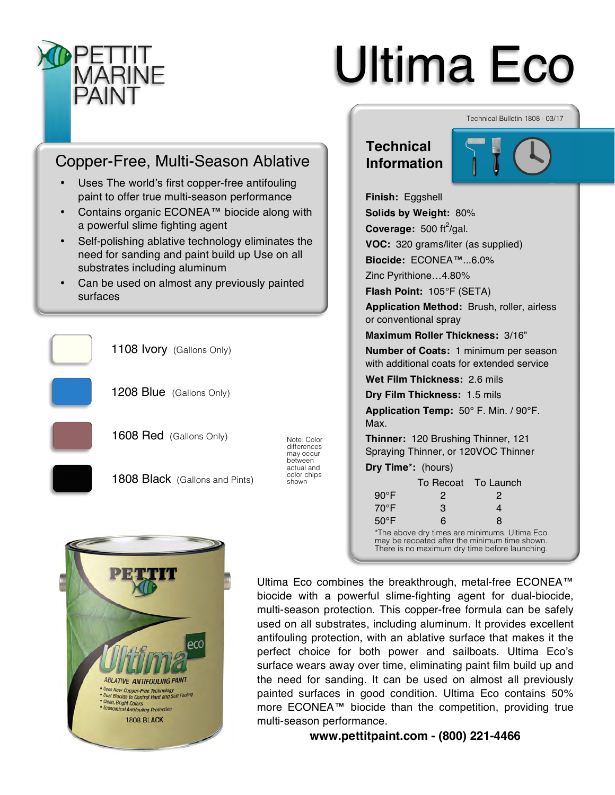

# Ultima Eco

# Copper-Free, Multi-Season Ablative

- Uses The world's first copper-free antifouling paint to offer true multi-season performance
- Contains organic ECONEA™ biocide along with a powerful slime fighting agent
- Self-polishing ablative technology eliminates the need for sanding and paint build up Use on all substrates including aluminum
- Can be used on almost any previously painted surfaces









Technical Bulletin 1808 - 03/17

**Finish:** Eggshell **Solids by Weight:** 80% **Coverage:** 500 ft<sup>2</sup>/gal. **VOC:** 320 grams/liter (as supplied) **Biocide:** ECONEA™...6.0% Zinc Pyrithione…4.80% **Flash Point:** 105°F (SETA)

**Application Method:** Brush, roller, airless or conventional spray

**Maximum Roller Thickness:** 3/16"

**Number of Coats:** 1 minimum per season with additional coats for extended service

**Wet Film Thickness:** 2.6 mils

**Dry Film Thickness:** 1.5 mils

**Application Temp:** 50° F. Min. / 90°F. Max.

**Thinner:** 120 Brushing Thinner, 121 Spraying Thinner, or 120VOC Thinner

**Dry Time**\***:** (hours)

|                                                                                                | To Recoat To Launch |   |  |
|------------------------------------------------------------------------------------------------|---------------------|---|--|
| $90^{\circ}$ F                                                                                 | 2                   | 2 |  |
| $70^{\circ}$ F                                                                                 | 3                   | 4 |  |
| $50^{\circ}$ F                                                                                 | 6                   | 8 |  |
| *The above dry times are minimums. Ultima Eco<br>may be recoated after the minimum time shown. |                     |   |  |

may be recoated after the minimum time shown. There is no maximum dry time before launching.

**ABLATIVE ANTIFOULING PAINT** \* Uses New Copper-Free Technology<br>\* Dual Biocide to Control Hard and Soft Fouling<br>\* Clean, Bright Colors Clean, Bright Colors mical Antifouling Protection **1808 BLACK** 

Ultima Eco combines the breakthrough, metal-free ECONEA™ biocide with a powerful slime-fighting agent for dual-biocide, multi-season protection. This copper-free formula can be safely used on all substrates, including aluminum. It provides excellent antifouling protection, with an ablative surface that makes it the perfect choice for both power and sailboats. Ultima Eco's surface wears away over time, eliminating paint film build up and the need for sanding. It can be used on almost all previously painted surfaces in good condition. Ultima Eco contains 50% more ECONEA™ biocide than the competition, providing true multi-season performance.

**www.pettitpaint.com - (800) 221-4466**